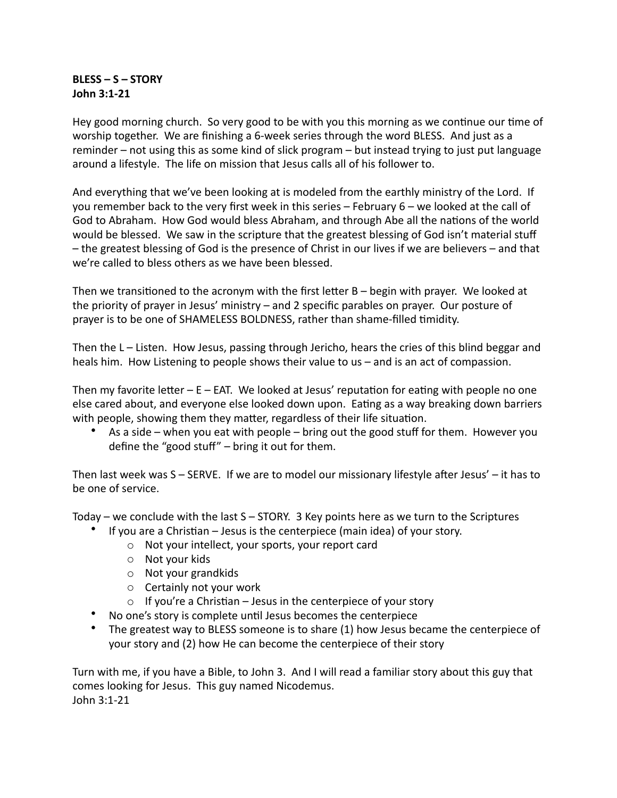## **BLESS – S – STORY John 3:1-21**

Hey good morning church. So very good to be with you this morning as we continue our time of worship together. We are finishing a 6-week series through the word BLESS. And just as a reminder – not using this as some kind of slick program – but instead trying to just put language around a lifestyle. The life on mission that Jesus calls all of his follower to.

And everything that we've been looking at is modeled from the earthly ministry of the Lord. If you remember back to the very first week in this series - February 6 - we looked at the call of God to Abraham. How God would bless Abraham, and through Abe all the nations of the world would be blessed. We saw in the scripture that the greatest blessing of God isn't material stuff - the greatest blessing of God is the presence of Christ in our lives if we are believers - and that we're called to bless others as we have been blessed.

Then we transitioned to the acronym with the first letter  $B - \frac{1}{2}$  begin with prayer. We looked at the priority of prayer in Jesus' ministry  $-$  and 2 specific parables on prayer. Our posture of prayer is to be one of SHAMELESS BOLDNESS, rather than shame-filled timidity.

Then the  $L - L$  isten. How Jesus, passing through Jericho, hears the cries of this blind beggar and heals him. How Listening to people shows their value to us – and is an act of compassion.

Then my favorite letter  $-E - EAT$ . We looked at Jesus' reputation for eating with people no one else cared about, and everyone else looked down upon. Eating as a way breaking down barriers with people, showing them they matter, regardless of their life situation.

As a side – when you eat with people – bring out the good stuff for them. However you define the "good stuff"  $-$  bring it out for them.

Then last week was  $S -$  SERVE. If we are to model our missionary lifestyle after Jesus'  $-$  it has to be one of service.

Today – we conclude with the last  $S - STORY$ . 3 Key points here as we turn to the Scriptures

- If you are a Christian  $-$  Jesus is the centerpiece (main idea) of your story.
	- $\circ$  Not your intellect, your sports, your report card
	- o Not your kids
	- $\circ$  Not your grandkids
	- $\circ$  Certainly not your work
	- $\circ$  If you're a Christian Jesus in the centerpiece of your story
- No one's story is complete until Jesus becomes the centerpiece
- The greatest way to BLESS someone is to share  $(1)$  how Jesus became the centerpiece of your story and (2) how He can become the centerpiece of their story

Turn with me, if you have a Bible, to John 3. And I will read a familiar story about this guy that comes looking for Jesus. This guy named Nicodemus. John 3:1-21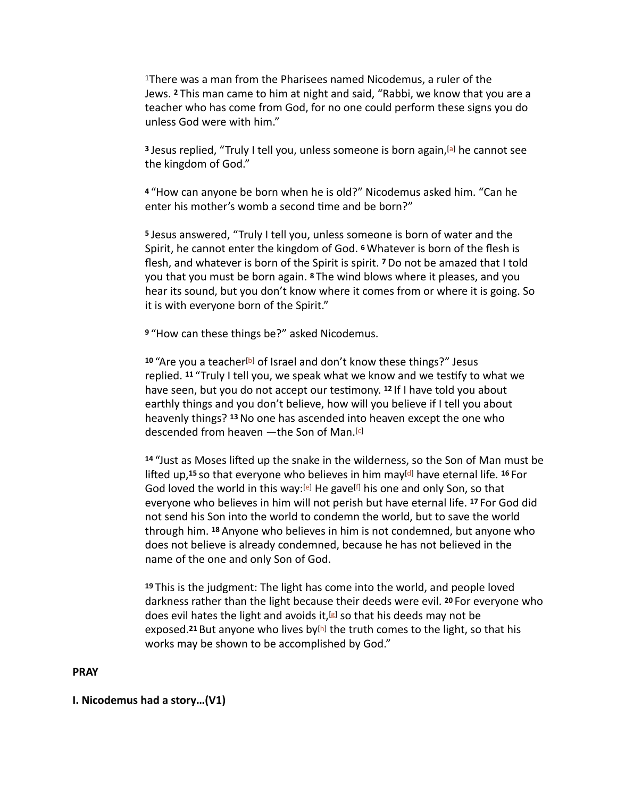<sup>1</sup>There was a man from the Pharisees named Nicodemus, a ruler of the Jews. <sup>2</sup> This man came to him at night and said, "Rabbi, we know that you are a teacher who has come from God, for no one could perform these signs you do unless God were with him."

<sup>3</sup> Jesus replied, "Truly I tell you, unless someone is born again,<sup>[\[a\]](https://www.biblegateway.com/passage/?search=john+3&version=CSB#fen-CSB-26114a)</sup> he cannot see the kingdom of God."

<sup>4</sup> "How can anyone be born when he is old?" Nicodemus asked him. "Can he enter his mother's womb a second time and be born?"

**5** Jesus answered, "Truly I tell you, unless someone is born of water and the Spirit, he cannot enter the kingdom of God. <sup>6</sup> Whatever is born of the flesh is flesh, and whatever is born of the Spirit is spirit. **7** Do not be amazed that I told you that you must be born again. <sup>8</sup> The wind blows where it pleases, and you hear its sound, but you don't know where it comes from or where it is going. So it is with everyone born of the Spirit."

<sup>9</sup> "How can these things be?" asked Nicodemus.

<sup>10</sup> "Are you a teacher<sup>[\[b](https://www.biblegateway.com/passage/?search=john+3&version=CSB#fen-CSB-26121b)]</sup> of Israel and don't know these things?" Jesus replied. <sup>11</sup> "Truly I tell you, we speak what we know and we testify to what we have seen, but you do not accept our testimony. <sup>12</sup> If I have told you about earthly things and you don't believe, how will you believe if I tell you about heavenly things? <sup>13</sup> No one has ascended into heaven except the one who descended from heaven - the Son of Man.<sup>[\[c\]](https://www.biblegateway.com/passage/?search=john+3&version=CSB#fen-CSB-26124c)</sup>

14 "Just as Moses lifted up the snake in the wilderness, so the Son of Man must be lifted up,<sup>15</sup> so that everyone who believes in him may<sup>[\[d](https://www.biblegateway.com/passage/?search=john+3&version=CSB#fen-CSB-26126d)]</sup> have eternal life. <sup>16</sup> For God loved the world in this way:<sup>[\[e](https://www.biblegateway.com/passage/?search=john+3&version=CSB#fen-CSB-26127e)]</sup> He gave<sup>[\[f\]](https://www.biblegateway.com/passage/?search=john+3&version=CSB#fen-CSB-26127f)</sup> his one and only Son, so that everyone who believes in him will not perish but have eternal life. <sup>17</sup> For God did not send his Son into the world to condemn the world, but to save the world through him. 18 Anyone who believes in him is not condemned, but anyone who does not believe is already condemned, because he has not believed in the name of the one and only Son of God.

19 This is the judgment: The light has come into the world, and people loved darkness rather than the light because their deeds were evil. <sup>20</sup> For everyone who does evil hates the light and avoids it,<sup>[[g\]](https://www.biblegateway.com/passage/?search=john+3&version=CSB#fen-CSB-26131g)</sup> so that his deeds may not be exposed.<sup>21</sup> But anyone who lives by<sup>[[h\]](https://www.biblegateway.com/passage/?search=john+3&version=CSB#fen-CSB-26132h)</sup> the truth comes to the light, so that his works may be shown to be accomplished by God."

### **PRAY**

### **I.** Nicodemus had a story...(V1)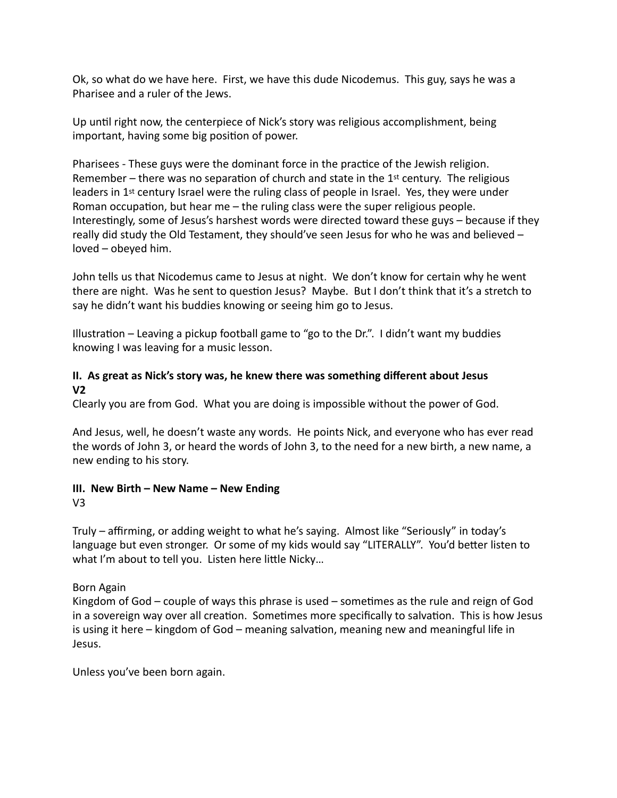Ok, so what do we have here. First, we have this dude Nicodemus. This guy, says he was a Pharisee and a ruler of the Jews.

Up until right now, the centerpiece of Nick's story was religious accomplishment, being important, having some big position of power.

Pharisees - These guys were the dominant force in the practice of the Jewish religion. Remember – there was no separation of church and state in the  $1<sup>st</sup>$  century. The religious leaders in  $1^{st}$  century Israel were the ruling class of people in Israel. Yes, they were under Roman occupation, but hear me  $-$  the ruling class were the super religious people. Interestingly, some of Jesus's harshest words were directed toward these guys – because if they really did study the Old Testament, they should've seen Jesus for who he was and believed  $$ loved - obeyed him.

John tells us that Nicodemus came to Jesus at night. We don't know for certain why he went there are night. Was he sent to question Jesus? Maybe. But I don't think that it's a stretch to say he didn't want his buddies knowing or seeing him go to Jesus.

Illustration – Leaving a pickup football game to "go to the Dr.". I didn't want my buddies knowing I was leaving for a music lesson.

### **II.** As great as Nick's story was, he knew there was something different about Jesus **V2**

Clearly you are from God. What you are doing is impossible without the power of God.

And Jesus, well, he doesn't waste any words. He points Nick, and everyone who has ever read the words of John 3, or heard the words of John 3, to the need for a new birth, a new name, a new ending to his story.

# **III.** New Birth – New Name – New Ending

V3

Truly – affirming, or adding weight to what he's saying. Almost like "Seriously" in today's language but even stronger. Or some of my kids would say "LITERALLY". You'd better listen to what I'm about to tell you. Listen here little Nicky...

Born Again

Kingdom of God – couple of ways this phrase is used – sometimes as the rule and reign of God in a sovereign way over all creation. Sometimes more specifically to salvation. This is how Jesus is using it here  $-$  kingdom of God  $-$  meaning salvation, meaning new and meaningful life in Jesus.

Unless you've been born again.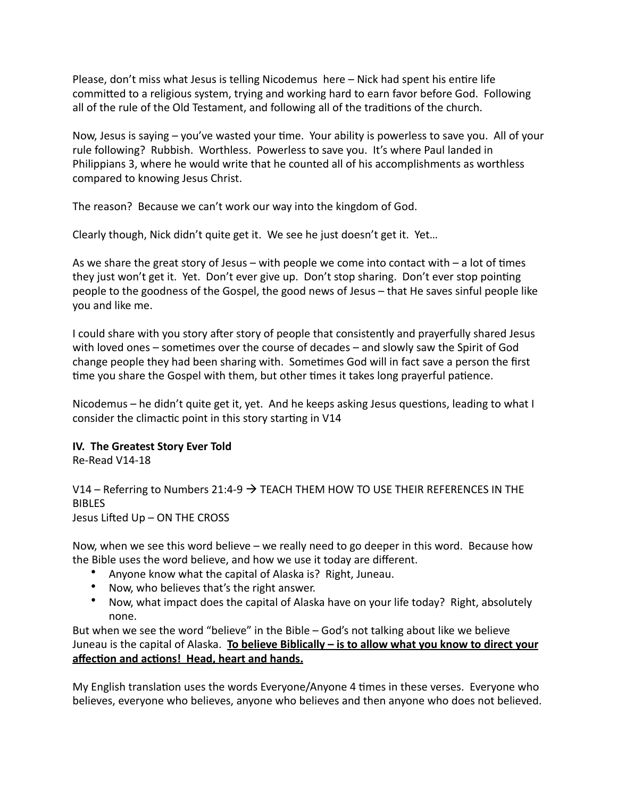Please, don't miss what Jesus is telling Nicodemus here – Nick had spent his entire life committed to a religious system, trying and working hard to earn favor before God. Following all of the rule of the Old Testament, and following all of the traditions of the church.

Now, Jesus is saying – you've wasted your time. Your ability is powerless to save you. All of your rule following? Rubbish. Worthless. Powerless to save you. It's where Paul landed in Philippians 3, where he would write that he counted all of his accomplishments as worthless compared to knowing Jesus Christ.

The reason? Because we can't work our way into the kingdom of God.

Clearly though, Nick didn't quite get it. We see he just doesn't get it. Yet...

As we share the great story of Jesus – with people we come into contact with – a lot of times they just won't get it. Yet. Don't ever give up. Don't stop sharing. Don't ever stop pointing people to the goodness of the Gospel, the good news of Jesus – that He saves sinful people like you and like me.

I could share with you story after story of people that consistently and prayerfully shared Jesus with loved ones – sometimes over the course of decades – and slowly saw the Spirit of God change people they had been sharing with. Sometimes God will in fact save a person the first time you share the Gospel with them, but other times it takes long prayerful patience.

Nicodemus – he didn't quite get it, yet. And he keeps asking Jesus questions, leading to what I consider the climactic point in this story starting in V14

## **IV.** The Greatest Story Ever Told

Re-Read V14-18

V14 – Referring to Numbers 21:4-9  $\rightarrow$  TEACH THEM HOW TO USE THEIR REFERENCES IN THE BIBLES

Jesus Lifted Up – ON THE CROSS

Now, when we see this word believe – we really need to go deeper in this word. Because how the Bible uses the word believe, and how we use it today are different.

- Anyone know what the capital of Alaska is? Right, Juneau.
- Now, who believes that's the right answer.
- Now, what impact does the capital of Alaska have on your life today? Right, absolutely none.

But when we see the word "believe" in the Bible  $-$  God's not talking about like we believe Juneau is the capital of Alaska. **To believe Biblically – is to allow what you know to direct your** affection and actions! Head, heart and hands.

My English translation uses the words Everyone/Anyone 4 times in these verses. Everyone who believes, everyone who believes, anyone who believes and then anyone who does not believed.